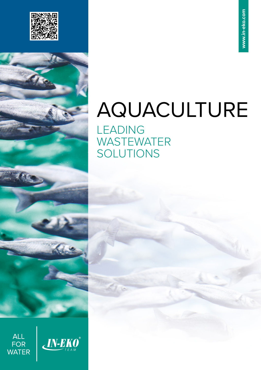

# AQUACULTURE

LEADING **WASTEWATER** SOLUTIONS



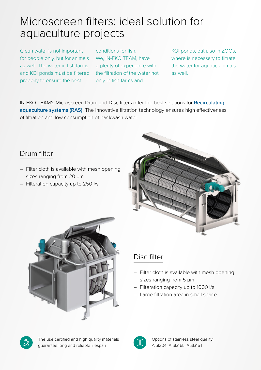## Microscreen filters: ideal solution for aquaculture projects

Clean water is not important for people only, but for animals as well. The water in fish farms and KOI ponds must be filtered properly to ensure the best

conditions for fish. We, IN-EKO TEAM, have a plenty of experience with the filtration of the water not only in fish farms and

KOI ponds, but also in ZOOs, where is necessary to filtrate the water for aquatic animals as well.

IN-EKO TEAM's Microscreen Drum and Disc filters offer the best solutions for **Recirculating aquaculture systems (RAS).** The innovative filtration technology ensures high effectiveness of filtration and low consumption of backwash water.

#### Drum filter

- Filter cloth is available with mesh opening sizes ranging from 20  $\mu$ m
- Filteration capacity up to 250 l/s





### Disc filter

- Filter cloth is available with mesh opening sizes ranging from 5  $\mu$ m
- Filteration capacity up to 1000 l/s
- Large filtration area in small space

The use certified and high quality materials guarantee long and reliable lifespan

Options of stainless steel quality: AISI304, AISI316L, AISI316Ti

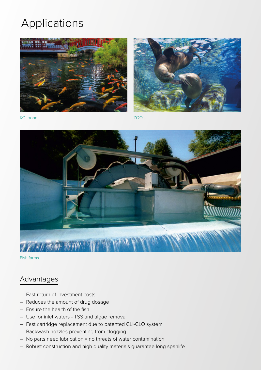# Applications





KOI ponds ZOO's



Fish farms

#### Advantages

- Fast return of investment costs
- Reduces the amount of drug dosage
- Ensure the health of the fish
- Use for inlet waters TSS and algae removal
- Fast cartridge replacement due to patented CLI-CLO system
- Backwash nozzles preventing from clogging
- No parts need lubrication = no threats of water contamination
- Robust construction and high quality materials guarantee long spanlife